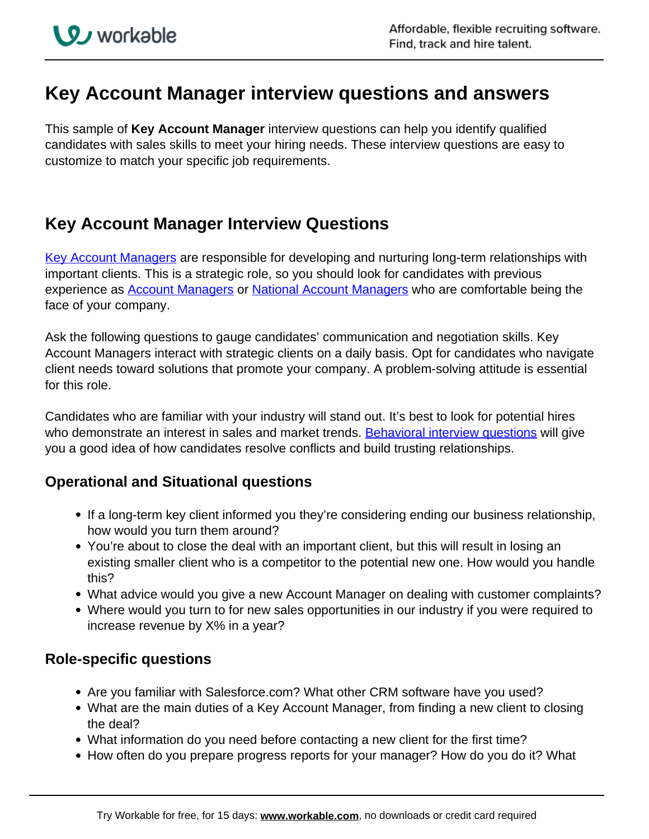# **Key Account Manager interview questions and answers**

This sample of **Key Account Manager** interview questions can help you identify qualified candidates with sales skills to meet your hiring needs. These interview questions are easy to customize to match your specific job requirements.

## **Key Account Manager Interview Questions**

[Key Account Managers](http://resources.workable.com/key-account-manager-job-description) are responsible for developing and nurturing long-term relationships with important clients. This is a strategic role, so you should look for candidates with previous experience as **Account Managers or National Account Managers** who are comfortable being the face of your company.

Ask the following questions to gauge candidates' communication and negotiation skills. Key Account Managers interact with strategic clients on a daily basis. Opt for candidates who navigate client needs toward solutions that promote your company. A problem-solving attitude is essential for this role.

Candidates who are familiar with your industry will stand out. It's best to look for potential hires who demonstrate an interest in sales and market trends. Behavioral interview questions will give you a good idea of how candidates resolve conflicts and build trusting relationships.

### **Operational and Situational questions**

- If a long-term key client informed you they're considering ending our business relationship, how would you turn them around?
- You're about to close the deal with an important client, but this will result in losing an existing smaller client who is a competitor to the potential new one. How would you handle this?
- What advice would you give a new Account Manager on dealing with customer complaints?
- Where would you turn to for new sales opportunities in our industry if you were required to increase revenue by X% in a year?

#### **Role-specific questions**

- Are you familiar with Salesforce.com? What other CRM software have you used?
- What are the main duties of a Key Account Manager, from finding a new client to closing the deal?
- What information do you need before contacting a new client for the first time?
- How often do you prepare progress reports for your manager? How do you do it? What